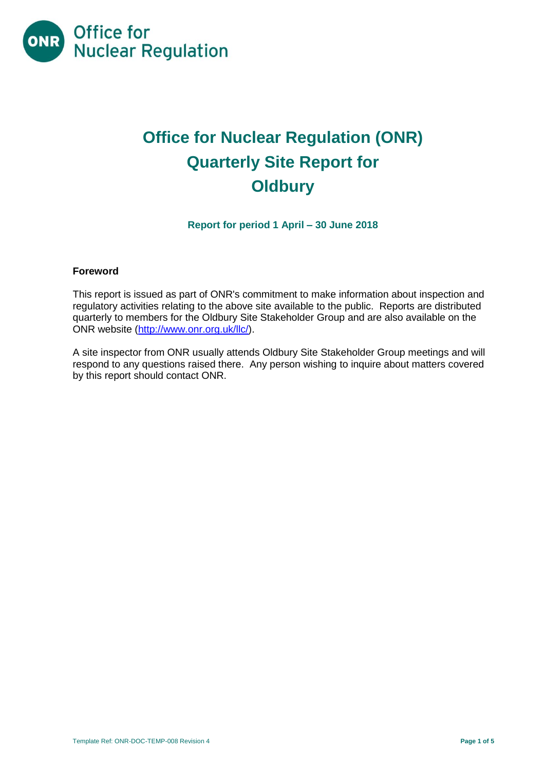

# **Office for Nuclear Regulation (ONR) Quarterly Site Report for Oldbury**

**Report for period 1 April – 30 June 2018**

#### **Foreword**

This report is issued as part of ONR's commitment to make information about inspection and regulatory activities relating to the above site available to the public. Reports are distributed quarterly to members for the Oldbury Site Stakeholder Group and are also available on the ONR website [\(http://www.onr.org.uk/llc/\)](http://www.onr.org.uk/llc/).

A site inspector from ONR usually attends Oldbury Site Stakeholder Group meetings and will respond to any questions raised there. Any person wishing to inquire about matters covered by this report should contact ONR.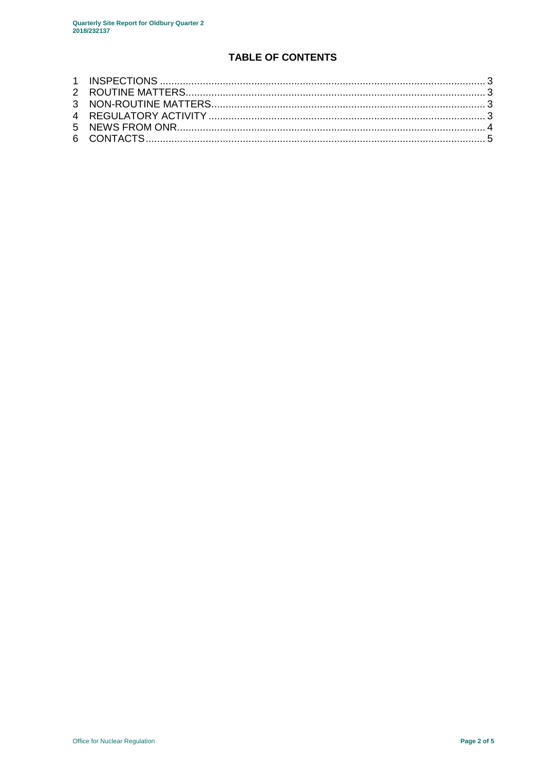# **TABLE OF CONTENTS**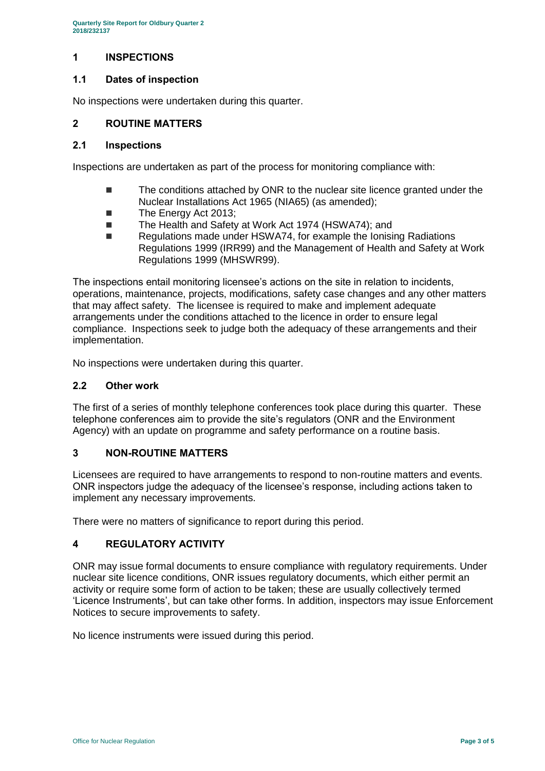# <span id="page-2-0"></span>**1 INSPECTIONS**

#### **1.1 Dates of inspection**

No inspections were undertaken during this quarter.

#### <span id="page-2-1"></span>**2 ROUTINE MATTERS**

#### **2.1 Inspections**

Inspections are undertaken as part of the process for monitoring compliance with:

- The conditions attached by ONR to the nuclear site licence granted under the Nuclear Installations Act 1965 (NIA65) (as amended);
- The Energy Act 2013;
- The Health and Safety at Work Act 1974 (HSWA74); and
- Regulations made under HSWA74, for example the Ionising Radiations Regulations 1999 (IRR99) and the Management of Health and Safety at Work Regulations 1999 (MHSWR99).

The inspections entail monitoring licensee's actions on the site in relation to incidents, operations, maintenance, projects, modifications, safety case changes and any other matters that may affect safety. The licensee is required to make and implement adequate arrangements under the conditions attached to the licence in order to ensure legal compliance. Inspections seek to judge both the adequacy of these arrangements and their implementation.

No inspections were undertaken during this quarter.

#### **2.2 Other work**

The first of a series of monthly telephone conferences took place during this quarter. These telephone conferences aim to provide the site's regulators (ONR and the Environment Agency) with an update on programme and safety performance on a routine basis.

#### <span id="page-2-2"></span>**3 NON-ROUTINE MATTERS**

Licensees are required to have arrangements to respond to non-routine matters and events. ONR inspectors judge the adequacy of the licensee's response, including actions taken to implement any necessary improvements.

There were no matters of significance to report during this period.

#### <span id="page-2-3"></span>**4 REGULATORY ACTIVITY**

ONR may issue formal documents to ensure compliance with regulatory requirements. Under nuclear site licence conditions, ONR issues regulatory documents, which either permit an activity or require some form of action to be taken; these are usually collectively termed 'Licence Instruments', but can take other forms. In addition, inspectors may issue Enforcement Notices to secure improvements to safety.

<span id="page-2-4"></span>No licence instruments were issued during this period.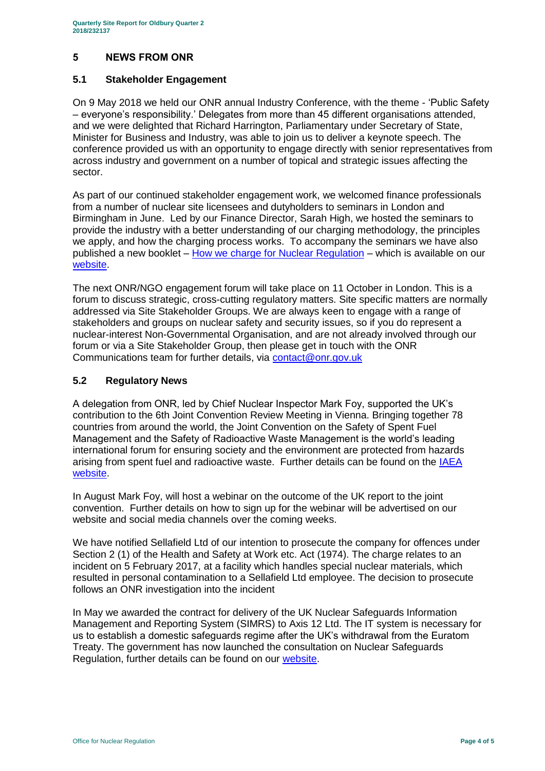# **5 NEWS FROM ONR**

#### **5.1 Stakeholder Engagement**

On 9 May 2018 we held our ONR annual Industry Conference, with the theme - 'Public Safety – everyone's responsibility.' Delegates from more than 45 different organisations attended, and we were delighted that Richard Harrington, Parliamentary under Secretary of State, Minister for Business and Industry, was able to join us to deliver a keynote speech. The conference provided us with an opportunity to engage directly with senior representatives from across industry and government on a number of topical and strategic issues affecting the sector.

As part of our continued stakeholder engagement work, we welcomed finance professionals from a number of nuclear site licensees and dutyholders to seminars in London and Birmingham in June. Led by our Finance Director, Sarah High, we hosted the seminars to provide the industry with a better understanding of our charging methodology, the principles we apply, and how the charging process works. To accompany the seminars we have also published a new booklet – [How we charge for Nuclear Regulation](http://www.onr.org.uk/documents/2018/how-we-charge-for-nuclear-regulation.pdf) – which is available on our [website.](http://www.onr.org.uk/documents/2018/how-we-charge-for-nuclear-regulation.pdf)

The next ONR/NGO engagement forum will take place on 11 October in London. This is a forum to discuss strategic, cross-cutting regulatory matters. Site specific matters are normally addressed via Site Stakeholder Groups. We are always keen to engage with a range of stakeholders and groups on nuclear safety and security issues, so if you do represent a nuclear-interest Non-Governmental Organisation, and are not already involved through our forum or via a Site Stakeholder Group, then please get in touch with the ONR Communications team for further details, via [contact@onr.gov.uk](mailto:contact@onr.gov.uk)

#### **5.2 Regulatory News**

A delegation from ONR, led by Chief Nuclear Inspector Mark Foy, supported the UK's contribution to the 6th Joint Convention Review Meeting in Vienna. Bringing together 78 countries from around the world, the Joint Convention on the Safety of Spent Fuel Management and the Safety of Radioactive Waste Management is the world's leading international forum for ensuring society and the environment are protected from hazards arising from spent fuel and radioactive waste. Further details can be found on the IAEA [website.](https://www.iaea.org/events/sixth-review-meeting-of-the-contracting-parties-to-the-joint-convention-on-the-safety-of-spent-fuel-management-and-on-the-safety-of-radioactive-waste-management-joint-convention)

In August Mark Foy, will host a webinar on the outcome of the UK report to the joint convention. Further details on how to sign up for the webinar will be advertised on our website and social media channels over the coming weeks.

We have notified Sellafield Ltd of our intention to prosecute the company for offences under Section 2 (1) of the Health and Safety at Work etc. Act (1974). The charge relates to an incident on 5 February 2017, at a facility which handles special nuclear materials, which resulted in personal contamination to a Sellafield Ltd employee. The decision to prosecute follows an ONR investigation into the incident

In May we awarded the contract for delivery of the UK Nuclear Safeguards Information Management and Reporting System (SIMRS) to Axis 12 Ltd. The IT system is necessary for us to establish a domestic safeguards regime after the UK's withdrawal from the Euratom Treaty. The government has now launched the consultation on Nuclear Safeguards Regulation, further details can be found on our [website.](http://news.onr.org.uk/2018/07/government-consults-on-nuclear-safeguards-regulations/)